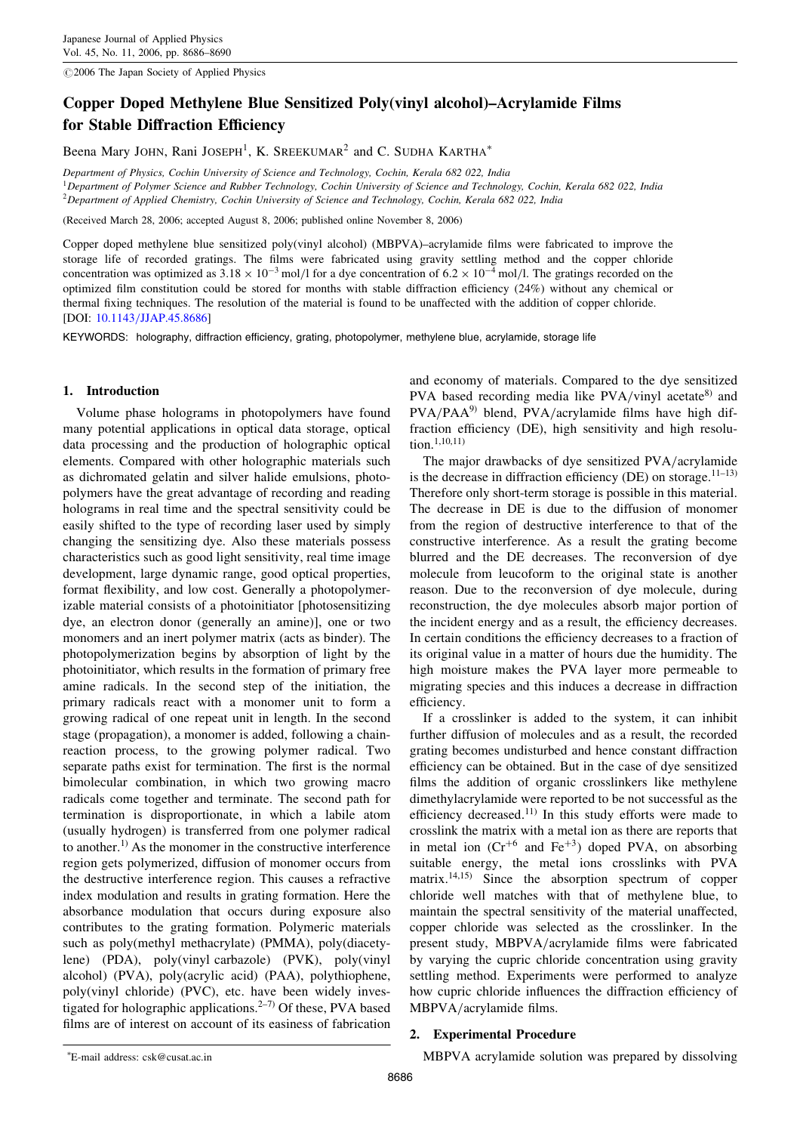$@2006$  The Japan Society of Applied Physics

# Copper Doped Methylene Blue Sensitized Poly(vinyl alcohol)–Acrylamide Films for Stable Diffraction Efficiency

Beena Mary JOHN, Rani JOSEPH<sup>1</sup>, K. SREEKUMAR<sup>2</sup> and C. SUDHA KARTHA<sup>\*</sup>

Department of Physics, Cochin University of Science and Technology, Cochin, Kerala 682 022, India <sup>1</sup>Department of Polymer Science and Rubber Technology, Cochin University of Science and Technology, Cochin, Kerala 682 022, India <sup>2</sup>Department of Applied Chemistry, Cochin University of Science and Technology, Cochin, Kerala 682 022, India

(Received March 28, 2006; accepted August 8, 2006; published online November 8, 2006)

Copper doped methylene blue sensitized poly(vinyl alcohol) (MBPVA)–acrylamide films were fabricated to improve the storage life of recorded gratings. The films were fabricated using gravity settling method and the copper chloride concentration was optimized as  $3.18 \times 10^{-3}$  mol/l for a dye concentration of  $6.2 \times 10^{-4}$  mol/l. The gratings recorded on the optimized film constitution could be stored for months with stable diffraction efficiency (24%) without any chemical or thermal fixing techniques. The resolution of the material is found to be unaffected with the addition of copper chloride. [DOI: [10.1143/JJAP.45.8686\]](http://dx.doi.org/10.1143/JJAP.45.8686)

KEYWORDS: holography, diffraction efficiency, grating, photopolymer, methylene blue, acrylamide, storage life

## 1. Introduction

Volume phase holograms in photopolymers have found many potential applications in optical data storage, optical data processing and the production of holographic optical elements. Compared with other holographic materials such as dichromated gelatin and silver halide emulsions, photopolymers have the great advantage of recording and reading holograms in real time and the spectral sensitivity could be easily shifted to the type of recording laser used by simply changing the sensitizing dye. Also these materials possess characteristics such as good light sensitivity, real time image development, large dynamic range, good optical properties, format flexibility, and low cost. Generally a photopolymerizable material consists of a photoinitiator [photosensitizing dye, an electron donor (generally an amine)], one or two monomers and an inert polymer matrix (acts as binder). The photopolymerization begins by absorption of light by the photoinitiator, which results in the formation of primary free amine radicals. In the second step of the initiation, the primary radicals react with a monomer unit to form a growing radical of one repeat unit in length. In the second stage (propagation), a monomer is added, following a chainreaction process, to the growing polymer radical. Two separate paths exist for termination. The first is the normal bimolecular combination, in which two growing macro radicals come together and terminate. The second path for termination is disproportionate, in which a labile atom (usually hydrogen) is transferred from one polymer radical to another.<sup>1)</sup> As the monomer in the constructive interference region gets polymerized, diffusion of monomer occurs from the destructive interference region. This causes a refractive index modulation and results in grating formation. Here the absorbance modulation that occurs during exposure also contributes to the grating formation. Polymeric materials such as poly(methyl methacrylate) (PMMA), poly(diacetylene) (PDA), poly(vinyl carbazole) (PVK), poly(vinyl alcohol) (PVA), poly(acrylic acid) (PAA), polythiophene, poly(vinyl chloride) (PVC), etc. have been widely investigated for holographic applications. $2-7$  Of these, PVA based films are of interest on account of its easiness of fabrication

and economy of materials. Compared to the dye sensitized PVA based recording media like  $PVA/vinvl$  acetate<sup>8)</sup> and PVA/PAA9) blend, PVA/acrylamide films have high diffraction efficiency (DE), high sensitivity and high resolu $tion.$ <sup>1,10,11)</sup>

The major drawbacks of dye sensitized PVA/acrylamide is the decrease in diffraction efficiency (DE) on storage. $11-13$ ) Therefore only short-term storage is possible in this material. The decrease in DE is due to the diffusion of monomer from the region of destructive interference to that of the constructive interference. As a result the grating become blurred and the DE decreases. The reconversion of dye molecule from leucoform to the original state is another reason. Due to the reconversion of dye molecule, during reconstruction, the dye molecules absorb major portion of the incident energy and as a result, the efficiency decreases. In certain conditions the efficiency decreases to a fraction of its original value in a matter of hours due the humidity. The high moisture makes the PVA layer more permeable to migrating species and this induces a decrease in diffraction efficiency.

If a crosslinker is added to the system, it can inhibit further diffusion of molecules and as a result, the recorded grating becomes undisturbed and hence constant diffraction efficiency can be obtained. But in the case of dye sensitized films the addition of organic crosslinkers like methylene dimethylacrylamide were reported to be not successful as the efficiency decreased.<sup>11)</sup> In this study efforts were made to crosslink the matrix with a metal ion as there are reports that in metal ion  $(Cr^{+6}$  and  $Fe^{+3}$ ) doped PVA, on absorbing suitable energy, the metal ions crosslinks with PVA matrix.14,15) Since the absorption spectrum of copper chloride well matches with that of methylene blue, to maintain the spectral sensitivity of the material unaffected, copper chloride was selected as the crosslinker. In the present study, MBPVA/acrylamide films were fabricated by varying the cupric chloride concentration using gravity settling method. Experiments were performed to analyze how cupric chloride influences the diffraction efficiency of MBPVA/acrylamide films.

## 2. Experimental Procedure

MBPVA acrylamide solution was prepared by dissolving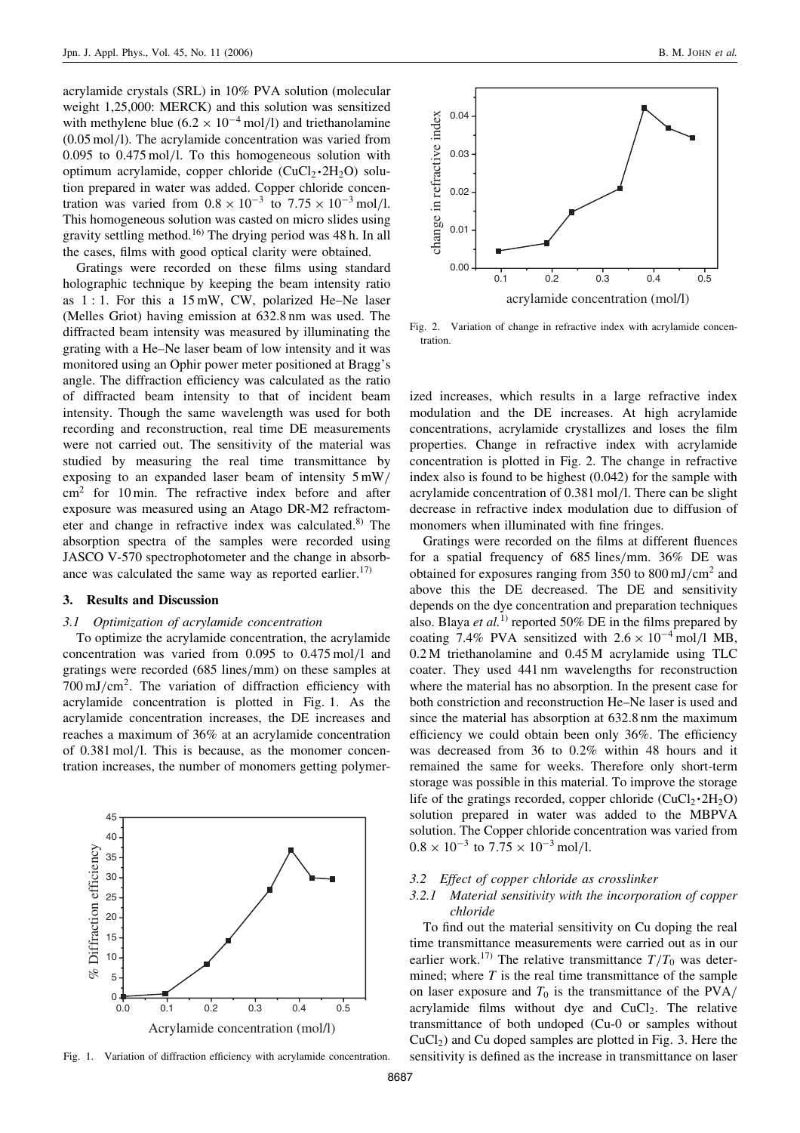acrylamide crystals (SRL) in 10% PVA solution (molecular weight 1,25,000: MERCK) and this solution was sensitized with methylene blue  $(6.2 \times 10^{-4} \text{ mol/l})$  and triethanolamine (0.05 mol/l). The acrylamide concentration was varied from 0.095 to 0.475 mol/l. To this homogeneous solution with optimum acrylamide, copper chloride  $(CuCl<sub>2</sub>·2H<sub>2</sub>O)$  solution prepared in water was added. Copper chloride concentration was varied from  $0.8 \times 10^{-3}$  to  $7.75 \times 10^{-3}$  mol/l. This homogeneous solution was casted on micro slides using gravity settling method.16) The drying period was 48 h. In all the cases, films with good optical clarity were obtained.

Gratings were recorded on these films using standard holographic technique by keeping the beam intensity ratio as 1:1. For this a 15 mW, CW, polarized He–Ne laser (Melles Griot) having emission at 632.8 nm was used. The diffracted beam intensity was measured by illuminating the grating with a He–Ne laser beam of low intensity and it was monitored using an Ophir power meter positioned at Bragg's angle. The diffraction efficiency was calculated as the ratio of diffracted beam intensity to that of incident beam intensity. Though the same wavelength was used for both recording and reconstruction, real time DE measurements were not carried out. The sensitivity of the material was studied by measuring the real time transmittance by exposing to an expanded laser beam of intensity 5 mW/ cm<sup>2</sup> for 10 min. The refractive index before and after exposure was measured using an Atago DR-M2 refractometer and change in refractive index was calculated.8) The absorption spectra of the samples were recorded using JASCO V-570 spectrophotometer and the change in absorbance was calculated the same way as reported earlier. $17$ )

#### 3. Results and Discussion

#### 3.1 Optimization of acrylamide concentration

To optimize the acrylamide concentration, the acrylamide concentration was varied from 0.095 to 0.475 mol/l and gratings were recorded (685 lines/mm) on these samples at 700 mJ/cm<sup>2</sup>. The variation of diffraction efficiency with acrylamide concentration is plotted in Fig. 1. As the acrylamide concentration increases, the DE increases and reaches a maximum of 36% at an acrylamide concentration of 0.381 mol/l. This is because, as the monomer concentration increases, the number of monomers getting polymer-



Fig. 1. Variation of diffraction efficiency with acrylamide concentration.



Fig. 2. Variation of change in refractive index with acrylamide concentration.

ized increases, which results in a large refractive index modulation and the DE increases. At high acrylamide concentrations, acrylamide crystallizes and loses the film properties. Change in refractive index with acrylamide concentration is plotted in Fig. 2. The change in refractive index also is found to be highest (0.042) for the sample with acrylamide concentration of 0.381 mol/l. There can be slight decrease in refractive index modulation due to diffusion of monomers when illuminated with fine fringes.

Gratings were recorded on the films at different fluences for a spatial frequency of 685 lines/mm. 36% DE was obtained for exposures ranging from 350 to 800 mJ/cm<sup>2</sup> and above this the DE decreased. The DE and sensitivity depends on the dye concentration and preparation techniques also. Blaya et  $al$ .<sup>1)</sup> reported 50% DE in the films prepared by coating 7.4% PVA sensitized with  $2.6 \times 10^{-4}$  mol/l MB, 0.2 M triethanolamine and 0.45 M acrylamide using TLC coater. They used 441 nm wavelengths for reconstruction where the material has no absorption. In the present case for both constriction and reconstruction He–Ne laser is used and since the material has absorption at 632.8 nm the maximum efficiency we could obtain been only 36%. The efficiency was decreased from 36 to 0.2% within 48 hours and it remained the same for weeks. Therefore only short-term storage was possible in this material. To improve the storage life of the gratings recorded, copper chloride  $(CuCl<sub>2</sub>•2H<sub>2</sub>O)$ solution prepared in water was added to the MBPVA solution. The Copper chloride concentration was varied from  $0.8 \times 10^{-3}$  to  $7.75 \times 10^{-3}$  mol/l.

## 3.2 Effect of copper chloride as crosslinker

# 3.2.1 Material sensitivity with the incorporation of copper chloride

To find out the material sensitivity on Cu doping the real time transmittance measurements were carried out as in our earlier work.<sup>17)</sup> The relative transmittance  $T/T_0$  was determined; where  $T$  is the real time transmittance of the sample on laser exposure and  $T_0$  is the transmittance of the PVA/ acrylamide films without dye and  $CuCl<sub>2</sub>$ . The relative transmittance of both undoped (Cu-0 or samples without  $CuCl<sub>2</sub>$ ) and Cu doped samples are plotted in Fig. 3. Here the sensitivity is defined as the increase in transmittance on laser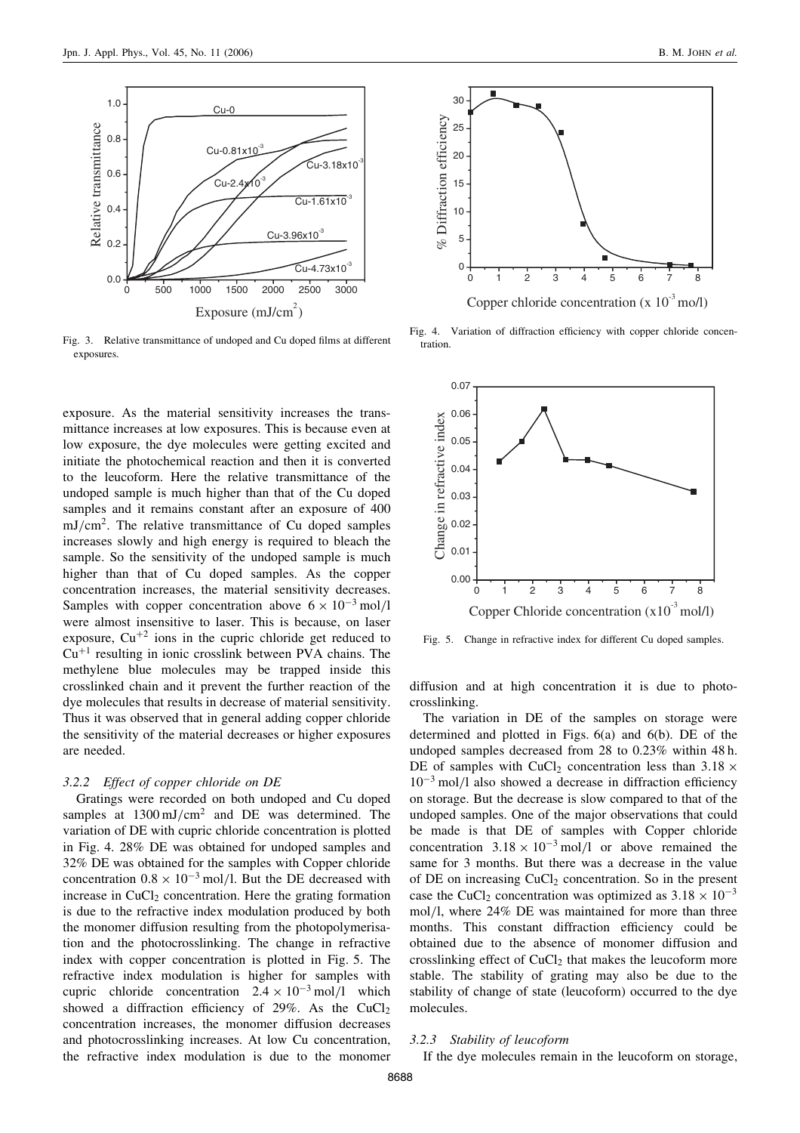

Fig. 3. Relative transmittance of undoped and Cu doped films at different exposures.

exposure. As the material sensitivity increases the transmittance increases at low exposures. This is because even at low exposure, the dye molecules were getting excited and initiate the photochemical reaction and then it is converted to the leucoform. Here the relative transmittance of the undoped sample is much higher than that of the Cu doped samples and it remains constant after an exposure of 400  $mJ/cm<sup>2</sup>$ . The relative transmittance of Cu doped samples increases slowly and high energy is required to bleach the sample. So the sensitivity of the undoped sample is much higher than that of Cu doped samples. As the copper concentration increases, the material sensitivity decreases. Samples with copper concentration above  $6 \times 10^{-3}$  mol/l were almost insensitive to laser. This is because, on laser exposure,  $Cu^{2}$  ions in the cupric chloride get reduced to  $Cu<sup>+1</sup>$  resulting in ionic crosslink between PVA chains. The methylene blue molecules may be trapped inside this crosslinked chain and it prevent the further reaction of the dye molecules that results in decrease of material sensitivity. Thus it was observed that in general adding copper chloride the sensitivity of the material decreases or higher exposures are needed.

## 3.2.2 Effect of copper chloride on DE

Gratings were recorded on both undoped and Cu doped samples at  $1300 \,\mathrm{mJ/cm^2}$  and DE was determined. The variation of DE with cupric chloride concentration is plotted in Fig. 4. 28% DE was obtained for undoped samples and 32% DE was obtained for the samples with Copper chloride concentration  $0.8 \times 10^{-3}$  mol/l. But the DE decreased with increase in  $CuCl<sub>2</sub>$  concentration. Here the grating formation is due to the refractive index modulation produced by both the monomer diffusion resulting from the photopolymerisation and the photocrosslinking. The change in refractive index with copper concentration is plotted in Fig. 5. The refractive index modulation is higher for samples with cupric chloride concentration  $2.4 \times 10^{-3}$  mol/l which showed a diffraction efficiency of  $29\%$ . As the CuCl<sub>2</sub> concentration increases, the monomer diffusion decreases and photocrosslinking increases. At low Cu concentration, the refractive index modulation is due to the monomer



Fig. 4. Variation of diffraction efficiency with copper chloride concentration.



Fig. 5. Change in refractive index for different Cu doped samples.

diffusion and at high concentration it is due to photocrosslinking.

The variation in DE of the samples on storage were determined and plotted in Figs. 6(a) and 6(b). DE of the undoped samples decreased from 28 to 0.23% within 48 h. DE of samples with CuCl<sub>2</sub> concentration less than  $3.18 \times$  $10^{-3}$  mol/l also showed a decrease in diffraction efficiency on storage. But the decrease is slow compared to that of the undoped samples. One of the major observations that could be made is that DE of samples with Copper chloride concentration  $3.18 \times 10^{-3}$  mol/l or above remained the same for 3 months. But there was a decrease in the value of DE on increasing  $CuCl<sub>2</sub>$  concentration. So in the present case the CuCl<sub>2</sub> concentration was optimized as  $3.18 \times 10^{-3}$ mol/l, where 24% DE was maintained for more than three months. This constant diffraction efficiency could be obtained due to the absence of monomer diffusion and crosslinking effect of  $CuCl<sub>2</sub>$  that makes the leucoform more stable. The stability of grating may also be due to the stability of change of state (leucoform) occurred to the dye molecules.

## 3.2.3 Stability of leucoform

If the dye molecules remain in the leucoform on storage,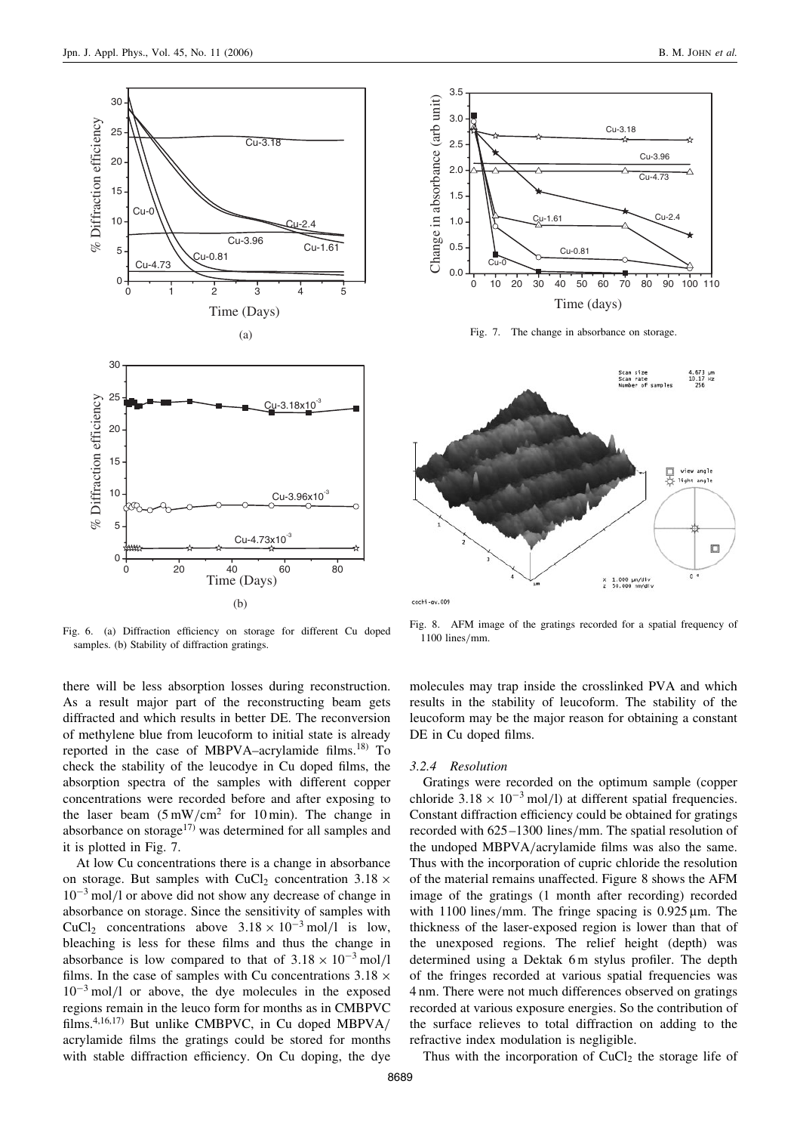

Fig. 6. (a) Diffraction efficiency on storage for different Cu doped samples. (b) Stability of diffraction gratings.

there will be less absorption losses during reconstruction. As a result major part of the reconstructing beam gets diffracted and which results in better DE. The reconversion of methylene blue from leucoform to initial state is already reported in the case of MBPVA–acrylamide films.18) To check the stability of the leucodye in Cu doped films, the absorption spectra of the samples with different copper concentrations were recorded before and after exposing to the laser beam  $(5 \text{ mW/cm}^2)$  for 10 min). The change in absorbance on storage<sup>17)</sup> was determined for all samples and it is plotted in Fig. 7.

At low Cu concentrations there is a change in absorbance on storage. But samples with CuCl<sub>2</sub> concentration  $3.18 \times$  $10^{-3}$  mol/l or above did not show any decrease of change in absorbance on storage. Since the sensitivity of samples with CuCl<sub>2</sub> concentrations above  $3.18 \times 10^{-3}$  mol/l is low, bleaching is less for these films and thus the change in absorbance is low compared to that of  $3.18 \times 10^{-3}$  mol/l films. In the case of samples with Cu concentrations  $3.18 \times$  $10^{-3}$  mol/l or above, the dye molecules in the exposed regions remain in the leuco form for months as in CMBPVC films.<sup>4,16,17)</sup> But unlike CMBPVC, in Cu doped MBPVA/ acrylamide films the gratings could be stored for months with stable diffraction efficiency. On Cu doping, the dye



Fig. 7. The change in absorbance on storage.



Fig. 8. AFM image of the gratings recorded for a spatial frequency of 1100 lines/mm.

molecules may trap inside the crosslinked PVA and which results in the stability of leucoform. The stability of the leucoform may be the major reason for obtaining a constant DE in Cu doped films.

#### 3.2.4 Resolution

Gratings were recorded on the optimum sample (copper chloride  $3.18 \times 10^{-3}$  mol/l) at different spatial frequencies. Constant diffraction efficiency could be obtained for gratings recorded with 625 –1300 lines/mm. The spatial resolution of the undoped MBPVA/acrylamide films was also the same. Thus with the incorporation of cupric chloride the resolution of the material remains unaffected. Figure 8 shows the AFM image of the gratings (1 month after recording) recorded with 1100 lines/mm. The fringe spacing is  $0.925 \,\mu$ m. The thickness of the laser-exposed region is lower than that of the unexposed regions. The relief height (depth) was determined using a Dektak 6 m stylus profiler. The depth of the fringes recorded at various spatial frequencies was 4 nm. There were not much differences observed on gratings recorded at various exposure energies. So the contribution of the surface relieves to total diffraction on adding to the refractive index modulation is negligible.

Thus with the incorporation of  $CuCl<sub>2</sub>$  the storage life of